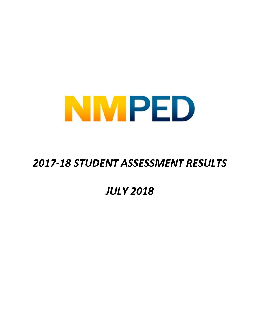

# *2017-18 STUDENT ASSESSMENT RESULTS*

# *JULY 2018*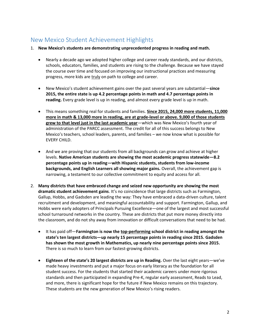## New Mexico Student Achievement Highlights

- 1. **New Mexico's students are demonstrating unprecedented progress in reading and math.**
	- Nearly a decade ago we adopted higher college and career ready standards, and our districts, schools, educators, families, and students are rising to the challenge. Because we have stayed the course over time and focused on improving our instructional practices and measuring progress, more kids are truly on path to college and career.
	- New Mexico's student achievement gains over the past several years are substantial—**since 2015, the entire state is up 4.2 percentage points in math and 4.7 percentage points in reading.** Every grade level is up in reading, and almost every grade level is up in math.
	- This means something real for students and families. **Since 2015, 24,000 more students, 11,000 more in math & 13,000 more in reading, are at grade-level or above. 9,000 of those students grew to that level just in the last academic year**—which was New Mexico's fourth year of administration of the PARCC assessment. The credit for all of this success belongs to New Mexico's teachers, school leaders, parents, and families – we now know what is possible for EVERY CHILD.
	- And we are proving that our students from all backgrounds can grow and achieve at higher levels. **Native American students are showing the most academic progress statewide—8.2 percentage points up in reading—with Hispanic students, students from low-income backgrounds, and English Learners all showing major gains.** Overall, the achievement gap is narrowing, a testament to our collective commitment to equity and access for all.
- 2. **Many districts that have embraced change and seized new opportunity are showing the most dramatic student achievement gains**. It's no coincidence that large districts such as Farmington, Gallup, Hobbs, and Gadsden are leading the way: They have embraced a data-driven culture, talent recruitment and development, and meaningful accountability and support. Farmington, Gallup, and Hobbs were early adopters of Principals Pursuing Excellence—one of the largest and most successful school turnaround networks in the country. These are districts that put more money directly into the classroom, and do not shy away from innovation or difficult conversations that need to be had.
	- It has paid off—**Farmington is now the top-performing school district in reading amongst the state's ten largest districts—up nearly 15 percentage points in reading since 2015. Gadsden has shown the most growth in Mathematics, up nearly nine percentage points since 2015.** There is so much to learn from our fastest-growing districts.
	- **Eighteen of the state's 20 largest districts are up in Reading.** Over the last eight years—we've made heavy investments and put a major focus on early literacy as the foundation for all student success. For the students that started their academic careers under more rigorous standards and then participated in expanding Pre-K, regular early assessment, Reads to Lead, and more, there is significant hope for the future if New Mexico remains on this trajectory. These students are the new generation of New Mexico's rising readers.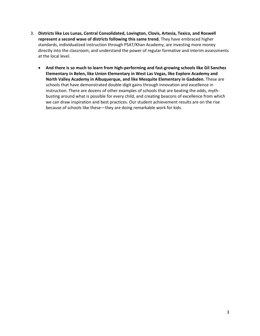- 3. **Districts like Los Lunas, Central Consolidated, Lovington, Clovis, Artesia, Texico, and Roswell represent a second wave of districts following this same trend.** They have embraced higher standards, individualized instruction through PSAT/Khan Academy, are investing more money directly into the classroom, and understand the power of regular formative and interim assessments at the local level.
	- **And there is so much to learn from high-performing and fast-growing schools like Gil Sanchez Elementary in Belen, like Union Elementary in West Las Vegas, like Explore Academy and North Valley Academy in Albuquerque, and like Mesquite Elementary in Gadsden.** These are schools that have demonstrated double-digit gains through innovation and excellence in instruction. There are dozens of other examples of schools that are beating the odds, mythbusting around what is possible for every child, and creating beacons of excellence from which we can draw inspiration and best practices. Our student achievement results are on the rise because of schools like these—they are doing remarkable work for kids.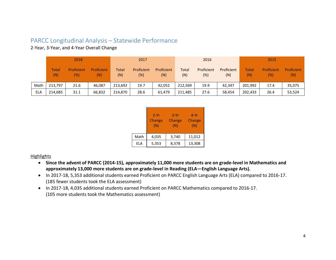### PARCC Longitudinal Analysis – Statewide Performance

2-Year, 3-Year, and 4-Year Overall Change

|      |                     | 2018              |                   | 2017                |                   |                   | 2016                |                   |                   | 2015                |                   |                   |
|------|---------------------|-------------------|-------------------|---------------------|-------------------|-------------------|---------------------|-------------------|-------------------|---------------------|-------------------|-------------------|
|      | <b>Total</b><br>(N) | Proficient<br>(%) | Proficient<br>(N) | <b>Total</b><br>(N) | Proficient<br>(%) | Proficient<br>(N) | <b>Total</b><br>(N) | Proficient<br>(%) | Proficient<br>(N) | <b>Total</b><br>(N) | Proficient<br>(%) | Proficient<br>(N) |
| Math | 213,797             | 21.6              | 46.087            | 213,692             | 19.7              | 42,052            | 212,569             | 19.9              | 42.347            | 201.992             | 17.4              | 35,075            |
| ELA  | 214,685             | 31.1              | 66,832            | 214.870             | 28.6              | 61,479            | 211,485             | 27.6              | 58,454            | 202,433             | 26.4              | 53,524            |

|      | $2-Yr$<br>Change<br>(N) | $3-Yr$<br>Change<br>(N) | 4-Yr<br>Change<br>(N) |
|------|-------------------------|-------------------------|-----------------------|
| Math | 4,035                   | 3,740                   | 11,012                |
| ELA  | 5,353                   | 8,378                   | 13,308                |

**Highlights** 

- **Since the advent of PARCC (2014-15), approximately 11,000 more students are on grade-level in Mathematics and approximately 13,000 more students are on grade-level in Reading (ELA—English Language Arts).**
- In 2017-18, 5,353 additional students earned Proficient on PARCC English Language Arts (ELA) compared to 2016-17. (185 fewer students took the ELA assessment)
- In 2017-18, 4,035 additional students earned Proficient on PARCC Mathematics compared to 2016-17. (105 more students took the Mathematics assessment)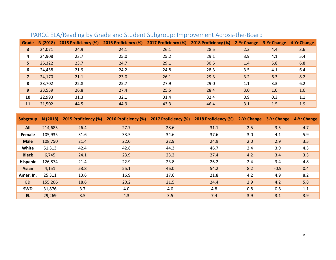| Grade        | N(2018) | 2015 Proficiency (%) | 2016 Proficiency (%) | 2017 Proficiency (%) | 2018 Proficiency (%) | 2-Yr Change 3-Yr Change |     | 4-Yr Change |
|--------------|---------|----------------------|----------------------|----------------------|----------------------|-------------------------|-----|-------------|
| $\mathbf{3}$ | 24,071  | 24.9                 | 24.1                 | 26.1                 | 28.5                 | 2.3                     | 4.4 | 3.6         |
| 4            | 24,908  | 23.7                 | 25.0                 | 25.2                 | 29.1                 | 3.9                     | 4.1 | 5.4         |
| 5            | 25,322  | 23.7                 | 24.7                 | 29.1                 | 30.5                 | 1.4                     | 5.8 | 6.8         |
| 6            | 24,458  | 21.9                 | 24.2                 | 24.8                 | 28.3                 | 3.5                     | 4.1 | 6.4         |
|              | 24,170  | 21.1                 | 23.0                 | 26.1                 | 29.3                 | 3.2                     | 6.3 | 8.2         |
| 8            | 23,702  | 22.8                 | 25.7                 | 27.9                 | 29.0                 | 1.1                     | 3.3 | 6.2         |
| 9            | 23,559  | 26.8                 | 27.4                 | 25.5                 | 28.4                 | 3.0                     | 1.0 | 1.6         |
| 10           | 22,993  | 31.3                 | 32.1                 | 31.4                 | 32.4                 | 0.9                     | 0.3 | 1.1         |
| 11           | 21,502  | 44.5                 | 44.9                 | 43.3                 | 46.4                 | 3.1                     | 1.5 | 1.9         |

# PARCC ELA/Reading by Grade and Student Subgroup: Improvement Across-the-Board

| <b>Subgroup</b> | N (2018) |      | 2015 Proficiency (%) 2016 Proficiency (%) 2017 Proficiency (%) |      | 2018 Proficiency (%) 2-Yr Change 3-Yr Change 4-Yr Change |     |        |     |
|-----------------|----------|------|----------------------------------------------------------------|------|----------------------------------------------------------|-----|--------|-----|
| <b>All</b>      | 214,685  | 26.4 | 27.7                                                           | 28.6 | 31.1                                                     | 2.5 | 3.5    | 4.7 |
| Female          | 105,935  | 31.6 | 33.5                                                           | 34.6 | 37.6                                                     | 3.0 | 4.1    | 5.9 |
| <b>Male</b>     | 108,750  | 21.4 | 22.0                                                           | 22.9 | 24.9                                                     | 2.0 | 2.9    | 3.5 |
| White           | 51,313   | 42.4 | 42.8                                                           | 44.3 | 46.7                                                     | 2.4 | 3.9    | 4.3 |
| <b>Black</b>    | 6,745    | 24.1 | 23.9                                                           | 23.2 | 27.4                                                     | 4.2 | 3.4    | 3.3 |
| <b>Hispanic</b> | 126,874  | 21.4 | 22.9                                                           | 23.8 | 26.2                                                     | 2.4 | 3.4    | 4.8 |
| <b>Asian</b>    | 4,151    | 53.8 | 55.1                                                           | 46.0 | 54.2                                                     | 8.2 | $-0.9$ | 0.4 |
| Amer. In.       | 25,311   | 13.6 | 16.9                                                           | 17.6 | 21.8                                                     | 4.2 | 4.9    | 8.2 |
| <b>ED</b>       | 155,206  | 18.6 | 20.2                                                           | 21.5 | 24.4                                                     | 2.9 | 4.2    | 5.8 |
| <b>SWD</b>      | 31,876   | 3.7  | 4.0                                                            | 4.0  | 4.8                                                      | 0.8 | 0.8    | 1.1 |
| EL.             | 29,269   | 3.5  | 4.3                                                            | 3.5  | 7.4                                                      | 3.9 | 3.1    | 3.9 |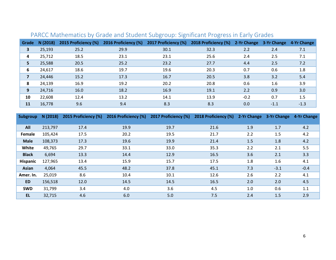| Grade | N(2018) | 2015 Proficiency (%) | 2016 Proficiency (%) | 2017 Proficiency (%) | 2018 Proficiency (%) | 2-Yr Change | 3-Yr Change | 4-Yr Change |
|-------|---------|----------------------|----------------------|----------------------|----------------------|-------------|-------------|-------------|
| 3     | 25,193  | 25.2                 | 29.9                 | 30.1                 | 32.3                 | 2.2         | 2.4         | 7.1         |
| 4     | 25,712  | 18.5                 | 23.1                 | 23.1                 | 25.6                 | 2.4         | 2.5         | 7.1         |
| 5     | 25,588  | 20.5                 | 25.2                 | 23.2                 | 27.7                 | 4.4         | 2.5         | 7.2         |
| 6     | 24,617  | 18.6                 | 19.7                 | 19.6                 | 20.3                 | 0.7         | 0.6         | 1.8         |
|       | 24,446  | 15.2                 | 17.3                 | 16.7                 | 20.5                 | 3.8         | 3.2         | 5.4         |
| 8     | 24,139  | 16.9                 | 19.2                 | 20.2                 | 20.8                 | 0.6         | 1.6         | 3.9         |
| 9     | 24,716  | 16.0                 | 18.2                 | 16.9                 | 19.1                 | 2.2         | 0.9         | 3.0         |
| 10    | 22,608  | 12.4                 | 13.2                 | 14.1                 | 13.9                 | $-0.2$      | 0.7         | 1.5         |
| 11    | 16,778  | 9.6                  | 9.4                  | 8.3                  | 8.3                  | 0.0         | $-1.1$      | $-1.3$      |

# PARCC Mathematics by Grade and Student Subgroup: Significant Progress in Early Grades

| Subgroup        | N (2018) | 2015 Proficiency (%) | 2016 Proficiency (%) | 2017 Proficiency (%) | 2018 Proficiency (%) | 2-Yr Change | 3-Yr Change | 4-Yr Change |
|-----------------|----------|----------------------|----------------------|----------------------|----------------------|-------------|-------------|-------------|
|                 |          |                      |                      |                      |                      |             |             |             |
| All             | 213,797  | 17.4                 | 19.9                 | 19.7                 | 21.6                 | 1.9         | 1.7         | 4.2         |
| Female          | 105,424  | 17.5                 | 20.2                 | 19.5                 | 21.7                 | 2.2         | 1.5         | 4.2         |
| <b>Male</b>     | 108,373  | 17.3                 | 19.6                 | 19.9                 | 21.4                 | 1.5         | 1.8         | 4.2         |
| White           | 49,765   | 29.7                 | 33.1                 | 33.0                 | 35.3                 | 2.2         | 2.1         | 5.5         |
| <b>Black</b>    | 6,694    | 13.3                 | 14.4                 | 12.9                 | 16.5                 | 3.6         | 2.1         | 3.3         |
| <b>Hispanic</b> | 127,965  | 13.4                 | 15.9                 | 15.7                 | 17.5                 | 1.8         | 1.6         | 4.1         |
| <b>Asian</b>    | 4,064    | 45.5                 | 48.2                 | 37.8                 | 45.1                 | 7.3         | $-3.1$      | $-0.4$      |
| Amer. In.       | 25,019   | 8.6                  | 10.4                 | 10.1                 | 12.6                 | 2.6         | 2.2         | 4.1         |
| <b>ED</b>       | 156,518  | 12.0                 | 14.5                 | 14.5                 | 16.5                 | 2.0         | 2.0         | 4.5         |
| <b>SWD</b>      | 31,799   | 3.4                  | 4.0                  | 3.6                  | 4.5                  | 1.0         | 0.6         | 1.1         |
| <b>EL</b>       | 32,715   | 4.6                  | 6.0                  | 5.0                  | 7.5                  | 2.4         | 1.5         | 2.9         |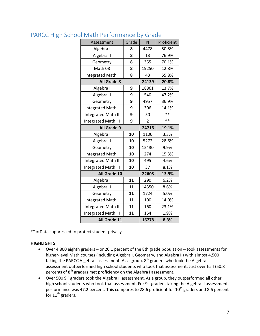| Assessment                 | Grade | N              | Proficient |
|----------------------------|-------|----------------|------------|
| Algebra I                  | 8     | 4478           | 50.8%      |
| Algebra II                 | 8     | 13             | 76.9%      |
| Geometry                   | 8     | 355            | 70.1%      |
| Math 08                    | 8     | 19250          | 12.8%      |
| Integrated Math I          | 8     | 43             | 55.8%      |
| <b>All Grade 8</b>         |       | 24139          | 20.8%      |
| Algebra I                  | 9     | 18861          | 13.7%      |
| Algebra II                 | 9     | 540            | 47.2%      |
| Geometry                   | 9     | 4957           | 36.9%      |
| Integrated Math I          | 9     | 306            | 14.1%      |
| <b>Integrated Math II</b>  | 9     | 50             | $**$       |
| Integrated Math III        | 9     | $\overline{2}$ | $**$       |
| All Grade 9                |       | 24716          | 19.1%      |
| Algebra I                  | 10    | 1100           | 3.3%       |
| Algebra II                 | 10    | 5272           | 28.6%      |
| Geometry                   | 10    | 15430          | 9.9%       |
| Integrated Math I          | 10    | 274            | 15.3%      |
| Integrated Math II         | 10    | 495            | 4.6%       |
| <b>Integrated Math III</b> | 10    | 37             | 8.1%       |
| All Grade 10               |       | 22608          | 13.9%      |
| Algebra I                  | 11    | 290            | 6.2%       |
| Algebra II                 | 11    | 14350          | 8.6%       |
| Geometry                   | 11    | 1724           | 5.0%       |
| Integrated Math I          | 11    | 100            | 14.0%      |
| Integrated Math II         | 11    | 160            | 23.1%      |
| <b>Integrated Math III</b> | 11    | 154            | 1.9%       |
| All Grade 11               |       | 16778          | 8.3%       |

### PARCC High School Math Performance by Grade

\*\* = Data suppressed to protect student privacy.

#### **HIGHLIGHTS**

- Over 4,800 eighth graders or 20.1 percent of the 8th grade population took assessments for higher-level Math courses (including Algebra I, Geometry, and Algebra II) with almost 4,500 taking the PARCC Algebra I assessment. As a group,  $8<sup>th</sup>$  graders who took the Algebra I assessment outperformed high school students who took that assessment. Just over half (50.8 percent) of 8<sup>th</sup> graders met proficiency on the Algebra I assessment.
- $\bullet$  Over 500 9<sup>th</sup> graders took the Algebra II assessment. As a group, they outperformed all other high school students who took that assessment. For 9<sup>th</sup> graders taking the Algebra II assessment, performance was 47.2 percent. This compares to 28.6 proficient for  $10^{th}$  graders and 8.6 percent for  $11^{th}$  graders.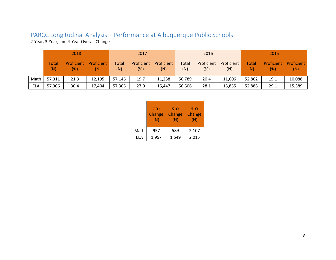# PARCC Longitudinal Analysis – Performance at Albuquerque Public Schools

2-Year, 3-Year, and 4-Year Overall Change

|      | 2018         |                   |                   | 2017                |                   | 2016              |              |                   | 2015              |                     |                   |                   |
|------|--------------|-------------------|-------------------|---------------------|-------------------|-------------------|--------------|-------------------|-------------------|---------------------|-------------------|-------------------|
|      | Total<br>(N) | Proficient<br>(%) | Proficient<br>(N) | <b>Total</b><br>(N) | Proficient<br>(%) | Proficient<br>(N) | Total<br>(N) | Proficient<br>(%) | Proficient<br>(N) | <b>Total</b><br>(N) | Proficient<br>(%) | Proficient<br>(N) |
| Math | 57,311       | 21.3              | 12,195            | 57,146              | 19.7              | 11,238            | 56,789       | 20.4              | 11,606            | 52,862              | 19.1              | 10,088            |
| ELA  | 57,306       | 30.4              | 17,404            | 57,306              | 27.0              | 15,447            | 56,506       | 28.1              | 15,855            | 52,888              | 29.1              | 15,389            |

|      | $2-Yr$<br>Change<br>(N) | $3-Yr$<br>Change<br>(N) | 4-Yr<br>Change<br>(N) |
|------|-------------------------|-------------------------|-----------------------|
| Math | 957                     | 589                     | 2,107                 |
| FI A | 1,957                   | 1,549                   | 2,015                 |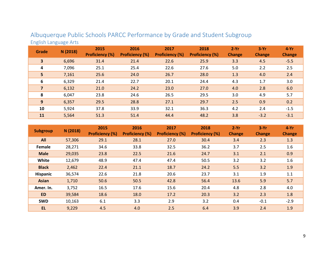| <b>Grade</b>   | N (2018) | 2015<br><b>Proficiency (%)</b> | 2016<br><b>Proficiency (%)</b> | 2017<br><b>Proficiency (%)</b> | 2018<br><b>Proficiency (%)</b> | $2-Yr$<br><b>Change</b> | $3-Yr$<br><b>Change</b> | $4-Yr$<br><b>Change</b> |
|----------------|----------|--------------------------------|--------------------------------|--------------------------------|--------------------------------|-------------------------|-------------------------|-------------------------|
| 3              | 6,696    | 31.4                           | 21.4                           | 22.6                           | 25.9                           | 3.3                     | 4.5                     | $-5.5$                  |
| 4              | 7,096    | 25.1                           | 25.4                           | 22.6                           | 27.6                           | 5.0                     | 2.2                     | 2.5                     |
| 5              | 7,161    | 25.6                           | 24.0                           | 26.7                           | 28.0                           | 1.3                     | 4.0                     | 2.4                     |
| 6              | 6,329    | 21.4                           | 22.7                           | 20.1                           | 24.4                           | 4.3                     | 1.7                     | 3.0                     |
| $\overline{7}$ | 6,132    | 21.0                           | 24.2                           | 23.0                           | 27.0                           | 4.0                     | 2.8                     | 6.0                     |
| 8              | 6,047    | 23.8                           | 24.6                           | 26.5                           | 29.5                           | 3.0                     | 4.9                     | 5.7                     |
| 9              | 6,357    | 29.5                           | 28.8                           | 27.1                           | 29.7                           | 2.5                     | 0.9                     | 0.2                     |
| 10             | 5,924    | 37.8                           | 33.9                           | 32.1                           | 36.3                           | 4.2                     | 2.4                     | $-1.5$                  |
| 11             | 5,564    | 51.3                           | 51.4                           | 44.4                           | 48.2                           | 3.8                     | $-3.2$                  | $-3.1$                  |

## Albuquerque Public Schools PARCC Performance by Grade and Student Subgroup English Language Arts

| <b>Subgroup</b> | N (2018) | 2015<br><b>Proficiency (%)</b> | 2016<br><b>Proficiency (%)</b> | 2017<br><b>Proficiency (%)</b> | 2018<br><b>Proficiency (%)</b> | $2-Yr$<br><b>Change</b> | $3-Yr$<br><b>Change</b> | $4-Yr$<br><b>Change</b> |
|-----------------|----------|--------------------------------|--------------------------------|--------------------------------|--------------------------------|-------------------------|-------------------------|-------------------------|
| All             | 57,306   | 29.1                           | 28.1                           | 27.0                           | 30.4                           | 3.4                     | 2.3                     | 1.3                     |
| Female          | 28,271   | 34.6                           | 33.8                           | 32.5                           | 36.2                           | 3.7                     | 2.5                     | 1.6                     |
| <b>Male</b>     | 29,035   | 23.8                           | 22.5                           | 21.6                           | 24.7                           | 3.1                     | 2.1                     | 0.9                     |
| White           | 12,679   | 48.9                           | 47.4                           | 47.4                           | 50.5                           | 3.2                     | 3.2                     | 1.6                     |
| <b>Black</b>    | 2,462    | 22.4                           | 21.1                           | 18.7                           | 24.2                           | 5.5                     | 3.2                     | 1.9                     |
| <b>Hispanic</b> | 36,574   | 22.6                           | 21.8                           | 20.6                           | 23.7                           | 3.1                     | 1.9                     | 1.1                     |
| <b>Asian</b>    | 1,710    | 50.6                           | 50.5                           | 42.8                           | 56.4                           | 13.6                    | 5.9                     | 5.7                     |
| Amer. In.       | 3,752    | 16.5                           | 17.6                           | 15.6                           | 20.4                           | 4.8                     | 2.8                     | 4.0                     |
| <b>ED</b>       | 39,584   | 18.6                           | 18.0                           | 17.2                           | 20.3                           | 3.2                     | 2.3                     | 1.8                     |
| <b>SWD</b>      | 10,163   | 6.1                            | 3.3                            | 2.9                            | 3.2                            | 0.4                     | $-0.1$                  | $-2.9$                  |
| EL.             | 9,229    | 4.5                            | 4.0                            | 2.5                            | 6.4                            | 3.9                     | 2.4                     | 1.9                     |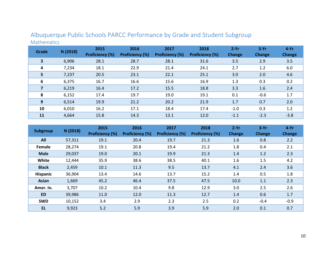| Grade                   | N (2018) | 2015<br><b>Proficiency (%)</b> | 2016<br><b>Proficiency (%)</b> | 2017<br><b>Proficiency (%)</b> | 2018<br><b>Proficiency (%)</b> | $2-Yr$<br>Change | $3-Yr$<br><b>Change</b> | $4-Yr$<br><b>Change</b> |
|-------------------------|----------|--------------------------------|--------------------------------|--------------------------------|--------------------------------|------------------|-------------------------|-------------------------|
| $\overline{\mathbf{3}}$ | 6,906    | 28.1                           | 28.7                           | 28.1                           | 31.6                           | 3.5              | 2.9                     | 3.5                     |
| 4                       | 7,234    | 18.1                           | 22.9                           | 21.4                           | 24.1                           | 2.7              | 1.2                     | 6.0                     |
| 5                       | 7,237    | 20.5                           | 23.1                           | 22.1                           | 25.1                           | 3.0              | 2.0                     | 4.6                     |
| 6                       | 6,375    | 16.7                           | 16.6                           | 15.6                           | 16.9                           | 1.3              | 0.3                     | 0.2                     |
| 7                       | 6,219    | 16.4                           | 17.2                           | 15.5                           | 18.8                           | 3.3              | 1.6                     | 2.4                     |
| 8                       | 6,152    | 17.4                           | 19.7                           | 19.0                           | 19.1                           | 0.1              | $-0.6$                  | 1.7                     |
| 9                       | 6,514    | 19.9                           | 21.2                           | 20.2                           | 21.9                           | 1.7              | 0.7                     | 2.0                     |
| 10                      | 6,010    | 16.2                           | 17.1                           | 18.4                           | 17.4                           | $-1.0$           | 0.3                     | 1.2                     |
| 11                      | 4,664    | 15.8                           | 14.3                           | 13.1                           | 12.0                           | $-1.1$           | $-2.3$                  | $-3.8$                  |

# Albuquerque Public Schools PARCC Performance by Grade and Student Subgroup Mathematics

| <b>Subgroup</b> | N (2018) | 2015<br><b>Proficiency (%)</b> | 2016<br><b>Proficiency (%)</b> | 2017<br><b>Proficiency (%)</b> | 2018<br><b>Proficiency (%)</b> | $2-Yr$<br><b>Change</b> | $3-Yr$<br>Change | $4-Yr$<br><b>Change</b> |
|-----------------|----------|--------------------------------|--------------------------------|--------------------------------|--------------------------------|-------------------------|------------------|-------------------------|
| All             | 57,311   | 19.1                           | 20.4                           | 19.7                           | 21.3                           | 1.6                     | 0.8              | 2.2                     |
| Female          | 28,274   | 19.1                           | 20.8                           | 19.4                           | 21.2                           | 1.8                     | 0.4              | 2.1                     |
| <b>Male</b>     | 29,037   | 19.0                           | 20.1                           | 19.9                           | 21.3                           | 1.4                     | 1.2              | 2.3                     |
| White           | 12,444   | 35.9                           | 38.6                           | 38.5                           | 40.1                           | 1.6                     | 1.5              | 4.2                     |
| <b>Black</b>    | 2,459    | 10.1                           | 11.3                           | 9.5                            | 13.7                           | 4.1                     | 2.4              | 3.6                     |
| <b>Hispanic</b> | 36,904   | 13.4                           | 14.6                           | 13.7                           | 15.2                           | 1.4                     | 0.5              | 1.8                     |
| <b>Asian</b>    | 1,669    | 45.2                           | 46.4                           | 37.5                           | 47.5                           | 10.0                    | 1.1              | 2.3                     |
| Amer. In.       | 3,707    | 10.2                           | 10.4                           | 9.8                            | 12.9                           | 3.0                     | 2.5              | 2.6                     |
| <b>ED</b>       | 39,986   | 11.0                           | 12.0                           | 11.3                           | 12.7                           | 1.4                     | 0.6              | 1.7                     |
| <b>SWD</b>      | 10,152   | 3.4                            | 2.9                            | 2.3                            | 2.5                            | 0.2                     | $-0.4$           | $-0.9$                  |
| <b>EL</b>       | 9,923    | 5.2                            | 5.9                            | 3.9                            | 5.9                            | 2.0                     | 0.1              | 0.7                     |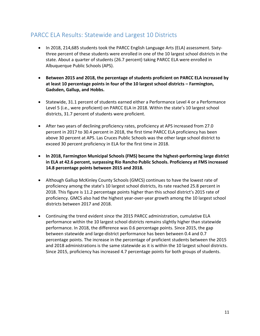### PARCC ELA Results: Statewide and Largest 10 Districts

- In 2018, 214,685 students took the PARCC English Language Arts (ELA) assessment. Sixtythree percent of these students were enrolled in one of the 10 largest school districts in the state. About a quarter of students (26.7 percent) taking PARCC ELA were enrolled in Albuquerque Public Schools (APS).
- **Between 2015 and 2018, the percentage of students proficient on PARCC ELA increased by at least 10 percentage points in four of the 10 largest school districts – Farmington, Gadsden, Gallup, and Hobbs.**
- Statewide, 31.1 percent of students earned either a Performance Level 4 or a Performance Level 5 (i.e., were proficient) on PARCC ELA in 2018. Within the state's 10 largest school districts, 31.7 percent of students were proficient.
- After two years of declining proficiency rates, proficiency at APS increased from 27.0 percent in 2017 to 30.4 percent in 2018, the first time PARCC ELA proficiency has been above 30 percent at APS. Las Cruces Public Schools was the other large school district to exceed 30 percent proficiency in ELA for the first time in 2018.
- **In 2018, Farmington Municipal Schools (FMS) became the highest-performing large district in ELA at 42.6 percent, surpassing Rio Rancho Public Schools. Proficiency at FMS increased 14.8 percentage points between 2015 and 2018.**
- Although Gallup McKinley County Schools (GMCS) continues to have the lowest rate of proficiency among the state's 10 largest school districts, its rate reached 25.8 percent in 2018. This figure is 11.2 percentage points higher than this school district's 2015 rate of proficiency. GMCS also had the highest year-over-year growth among the 10 largest school districts between 2017 and 2018.
- Continuing the trend evident since the 2015 PARCC administration, cumulative ELA performance within the 10 largest school districts remains slightly higher than statewide performance. In 2018, the difference was 0.6 percentage points. Since 2015, the gap between statewide and large-district performance has been between 0.4 and 0.7 percentage points. The increase in the percentage of proficient students between the 2015 and 2018 administrations is the same statewide as it is within the 10 largest school districts. Since 2015, proficiency has increased 4.7 percentage points for both groups of students.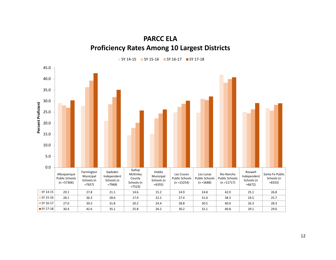# **PARCC ELA Proficiency Rates Among 10 Largest Districts**

SY 14-15 SY 15-16 SY 16-17 SY 17-18

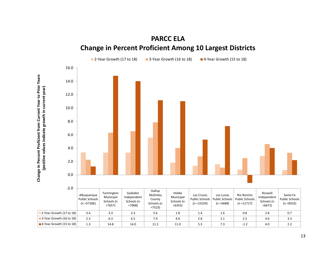



13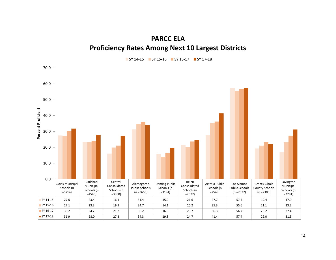# **PARCC ELA Proficiency Rates Among Next 10 Largest Districts**



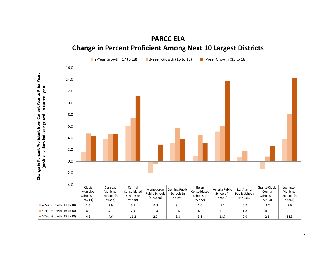

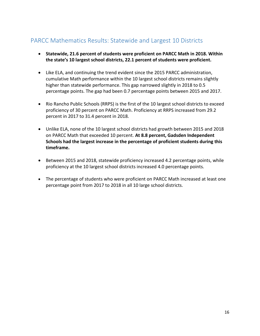# PARCC Mathematics Results: Statewide and Largest 10 Districts

- **Statewide, 21.6 percent of students were proficient on PARCC Math in 2018. Within the state's 10 largest school districts, 22.1 percent of students were proficient.**
- Like ELA, and continuing the trend evident since the 2015 PARCC administration, cumulative Math performance within the 10 largest school districts remains slightly higher than statewide performance. This gap narrowed slightly in 2018 to 0.5 percentage points. The gap had been 0.7 percentage points between 2015 and 2017.
- Rio Rancho Public Schools (RRPS) is the first of the 10 largest school districts to exceed proficiency of 30 percent on PARCC Math. Proficiency at RRPS increased from 29.2 percent in 2017 to 31.4 percent in 2018.
- Unlike ELA, none of the 10 largest school districts had growth between 2015 and 2018 on PARCC Math that exceeded 10 percent. **At 8.8 percent, Gadsden Independent Schools had the largest increase in the percentage of proficient students during this timeframe.**
- Between 2015 and 2018, statewide proficiency increased 4.2 percentage points, while proficiency at the 10 largest school districts increased 4.0 percentage points.
- The percentage of students who were proficient on PARCC Math increased at least one percentage point from 2017 to 2018 in all 10 large school districts.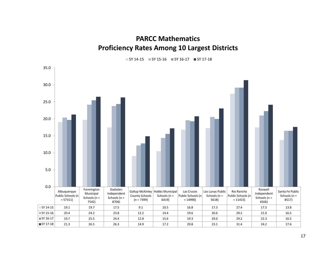# **PARCC Mathematics Proficiency Rates Among 10 Largest Districts**

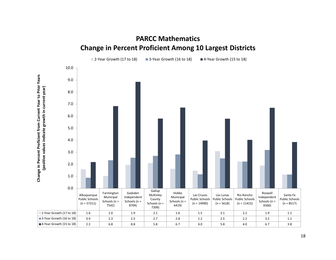

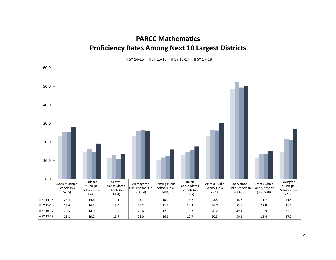**PARCC Mathematics Proficiency Rates Among Next 10 Largest Districts**



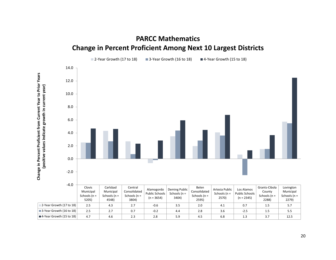

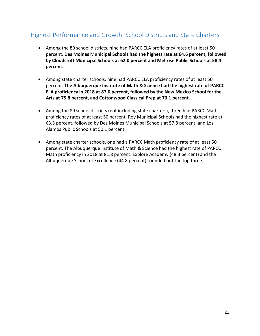# Highest Performance and Growth: School Districts and State Charters

- Among the 89 school districts, nine had PARCC ELA proficiency rates of at least 50 percent. **Des Moines Municipal Schools had the highest rate at 64.6 percent, followed by Cloudcroft Municipal Schools at 62.0 percent and Melrose Public Schools at 58.4 percent.**
- Among state charter schools, nine had PARCC ELA proficiency rates of at least 50 percent. **The Albuquerque Institute of Math & Science had the highest rate of PARCC ELA proficiency in 2018 at 87.0 percent, followed by the New Mexico School for the Arts at 75.8 percent, and Cottonwood Classical Prep at 70.1 percent.**
- Among the 89 school districts (not including state charters), three had PARCC Math proficiency rates of at least 50 percent. Roy Municipal Schools had the highest rate at 63.3 percent, followed by Des Moines Municipal Schools at 57.8 percent, and Los Alamos Public Schools at 50.1 percent.
- Among state charter schools, one had a PARCC Math proficiency rate of at least 50 percent. The Albuquerque Institute of Math & Science had the highest rate of PARCC Math proficiency in 2018 at 81.8 percent. Explore Academy (48.3 percent) and the Albuquerque School of Excellence (44.8 percent) rounded out the top three.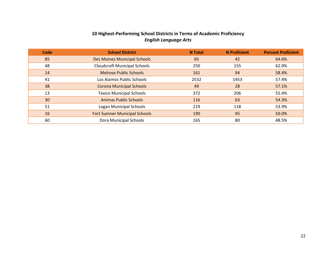#### **10 Highest-Performing School Districts in Terms of Academic Proficiency** *English Language Arts*

| Code | <b>School District</b>               | <b>N</b> Total | <b>N</b> Proficient | <b>Percent Proficient</b> |
|------|--------------------------------------|----------------|---------------------|---------------------------|
| 85   | Des Moines Municipal Schools         | 65             | 42                  | 64.6%                     |
| 48   | <b>Cloudcroft Municipal Schools</b>  | 250            | 155                 | 62.0%                     |
| 14   | <b>Melrose Public Schools</b>        | 161            | 94                  | 58.4%                     |
| 41   | Los Alamos Public Schools            | 2532           | 1453                | 57.4%                     |
| 38   | <b>Corona Municipal Schools</b>      | 49             | 28                  | 57.1%                     |
| 13   | <b>Texico Municipal Schools</b>      | 372            | 206                 | 55.4%                     |
| 30   | <b>Animas Public Schools</b>         | 116            | 63                  | 54.3%                     |
| 51   | Logan Municipal Schools              | 219            | 118                 | 53.9%                     |
| 16   | <b>Fort Sumner Municipal Schools</b> | 190            | 95                  | 50.0%                     |
| 60   | Dora Municipal Schools               | 165            | 80                  | 48.5%                     |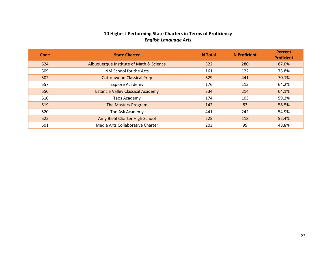#### **10 Highest-Performing State Charters in Terms of Proficiency** *English Language Arts*

| Code | <b>State Charter</b>                     | <b>N</b> Total | <b>N</b> Proficient | <b>Percent</b><br><b>Proficient</b> |
|------|------------------------------------------|----------------|---------------------|-------------------------------------|
| 524  | Albuquerque Institute of Math & Science  | 322            | 280                 | 87.0%                               |
| 509  | NM School for the Arts                   | 161            | 122                 | 75.8%                               |
| 502  | <b>Cottonwood Classical Prep</b>         | 629            | 441                 | 70.1%                               |
| 557  | <b>Explore Academy</b>                   | 176            | 113                 | 64.2%                               |
| 550  | <b>Estancia Valley Classical Academy</b> | 334            | 214                 | 64.1%                               |
| 510  | Taos Academy                             | 174            | 103                 | 59.2%                               |
| 519  | The Masters Program                      | 142            | 83                  | 58.5%                               |
| 520  | The Ask Academy                          | 441            | 242                 | 54.9%                               |
| 525  | Amy Biehl Charter High School            | 225            | 118                 | 52.4%                               |
| 501  | Media Arts Collaborative Charter         | 203            | 99                  | 48.8%                               |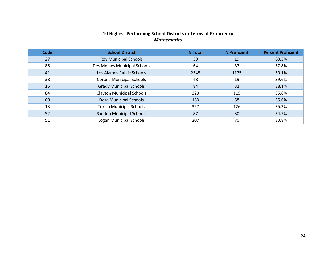#### **10 Highest-Performing School Districts in Terms of Proficiency** *Mathematics*

| <b>Code</b> | <b>School District</b>           | <b>N</b> Total | <b>N</b> Proficient | <b>Percent Proficient</b> |
|-------------|----------------------------------|----------------|---------------------|---------------------------|
| 27          | <b>Roy Municipal Schools</b>     | 30             | 19                  | 63.3%                     |
| 85          | Des Moines Municipal Schools     | 64             | 37                  | 57.8%                     |
| 41          | Los Alamos Public Schools        | 2345           | 1175                | 50.1%                     |
| 38          | Corona Municipal Schools         | 48             | 19                  | 39.6%                     |
| 15          | <b>Grady Municipal Schools</b>   | 84             | 32                  | 38.1%                     |
| 84          | <b>Clayton Municipal Schools</b> | 323            | 115                 | 35.6%                     |
| 60          | Dora Municipal Schools           | 163            | 58                  | 35.6%                     |
| 13          | <b>Texico Municipal Schools</b>  | 357            | 126                 | 35.3%                     |
| 52          | San Jon Municipal Schools        | 87             | 30                  | 34.5%                     |
| 51          | Logan Municipal Schools          | 207            | 70                  | 33.8%                     |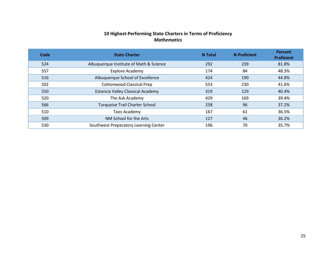#### **10 Highest-Performing State Charters in Terms of Proficiency** *Mathematics*

| <b>Code</b> | <b>State Charter</b>                     | <b>N</b> Total | <b>N</b> Proficient | Percent<br><b>Proficient</b> |
|-------------|------------------------------------------|----------------|---------------------|------------------------------|
| 524         | Albuquerque Institute of Math & Science  | 292            | 239                 | 81.8%                        |
| 557         | <b>Explore Academy</b>                   | 174            | 84                  | 48.3%                        |
| 516         | Albuquerque School of Excellence         | 424            | 190                 | 44.8%                        |
| 502         | <b>Cottonwood Classical Prep</b>         | 553            | 230                 | 41.6%                        |
| 550         | <b>Estancia Valley Classical Academy</b> | 319            | 129                 | 40.4%                        |
| 520         | The Ask Academy                          | 429            | 169                 | 39.4%                        |
| 566         | <b>Turquoise Trail Charter School</b>    | 258            | 96                  | 37.2%                        |
| 510         | Taos Academy                             | 167            | 61                  | 36.5%                        |
| 509         | NM School for the Arts                   | 127            | 46                  | 36.2%                        |
| 530         | Southwest Preparatory Learning Center    | 196            | 70                  | 35.7%                        |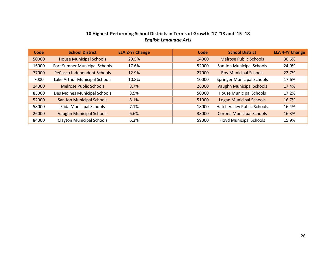#### **10 Highest-Performing School Districts in Terms of Growth '17-'18 and '15-'18** *English Language Arts*

| Code  | <b>School District</b>           | <b>ELA 2-Yr Change</b> | Code  | <b>School District</b>            | <b>ELA 4-Yr Change</b> |
|-------|----------------------------------|------------------------|-------|-----------------------------------|------------------------|
| 50000 | <b>House Municipal Schools</b>   | 29.5%                  | 14000 | <b>Melrose Public Schools</b>     | 30.6%                  |
| 16000 | Fort Sumner Municipal Schools    | 17.6%                  | 52000 | San Jon Municipal Schools         | 24.9%                  |
| 77000 | Peñasco Independent Schools      | 12.9%                  | 27000 | <b>Roy Municipal Schools</b>      | 22.7%                  |
| 7000  | Lake Arthur Municipal Schools    | 10.8%                  | 10000 | <b>Springer Municipal Schools</b> | 17.6%                  |
| 14000 | <b>Melrose Public Schools</b>    | 8.7%                   | 26000 | <b>Vaughn Municipal Schools</b>   | 17.4%                  |
| 85000 | Des Moines Municipal Schools     | 8.5%                   | 50000 | <b>House Municipal Schools</b>    | 17.2%                  |
| 52000 | <b>San Jon Municipal Schools</b> | 8.1%                   | 51000 | <b>Logan Municipal Schools</b>    | 16.7%                  |
| 58000 | Elida Municipal Schools          | 7.1%                   | 18000 | Hatch Valley Public Schools       | 16.4%                  |
| 26000 | <b>Vaughn Municipal Schools</b>  | 6.6%                   | 38000 | <b>Corona Municipal Schools</b>   | 16.3%                  |
| 84000 | <b>Clayton Municipal Schools</b> | 6.3%                   | 59000 | <b>Floyd Municipal Schools</b>    | 15.9%                  |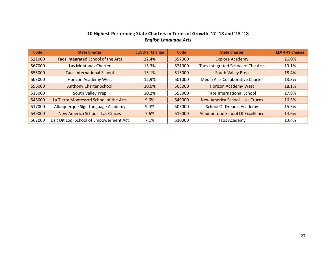#### **10 Highest-Performing State Charters in Terms of Growth '17-'18 and '15-'18** *English Language Arts*

| Code   | <b>State Charter</b>                    | <b>ELA 2-Yr Change</b> | Code   | <b>State Charter</b>               | <b>ELA 4-Yr Change</b> |
|--------|-----------------------------------------|------------------------|--------|------------------------------------|------------------------|
| 521000 | Taos Integrated School of the Arts      | 22.4%                  | 557000 | <b>Explore Academy</b>             | 26.0%                  |
| 567000 | Las Montanas Charter                    | 15.3%                  | 521000 | Taos Integrated School of The Arts | 19.1%                  |
| 555000 | <b>Taos International School</b>        | 15.1%                  | 515000 | South Valley Prep                  | 18.4%                  |
| 503000 | Horizon Academy West                    | 12.9%                  | 501000 | Media Arts Collaborative Charter   | 18.3%                  |
| 556000 | <b>Anthony Charter School</b>           | 10.5%                  | 503000 | <b>Horizon Academy West</b>        | 18.1%                  |
| 515000 | South Valley Prep                       | 10.2%                  | 555000 | <b>Taos International School</b>   | 17.9%                  |
| 546000 | La Tierra Montessori School of the Arts | 9.6%                   | 549000 | New America School - Las Cruces    | 16.5%                  |
| 517000 | Albuquerque Sign Language Academy       | 9.4%                   | 505000 | <b>School Of Dreams Academy</b>    | 15.3%                  |
| 549000 | New America School - Las Cruces         | 7.6%                   | 516000 | Albuquerque School Of Excellence   | 14.6%                  |
| 562000 | Dzit Dit Lool School of Empowerment Act | 7.1%                   | 510000 | Taos Academy                       | 13.4%                  |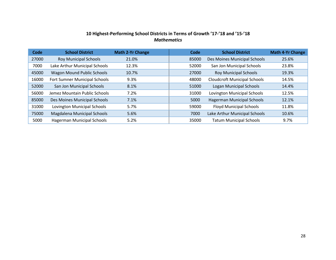#### **10 Highest-Performing School Districts in Terms of Growth '17-'18 and '15-'18** *Mathematics*

| Code  | <b>School District</b>             | <b>Math 2-Yr Change</b> | Code  | <b>School District</b>              | <b>Math 4-Yr Change</b> |
|-------|------------------------------------|-------------------------|-------|-------------------------------------|-------------------------|
| 27000 | <b>Roy Municipal Schools</b>       | 21.0%                   | 85000 | Des Moines Municipal Schools        | 25.6%                   |
| 7000  | Lake Arthur Municipal Schools      | 12.3%                   | 52000 | San Jon Municipal Schools           | 23.8%                   |
| 45000 | <b>Wagon Mound Public Schools</b>  | 10.7%                   | 27000 | <b>Roy Municipal Schools</b>        | 19.3%                   |
| 16000 | Fort Sumner Municipal Schools      | 9.3%                    | 48000 | <b>Cloudcroft Municipal Schools</b> | 14.5%                   |
| 52000 | San Jon Municipal Schools          | 8.1%                    | 51000 | <b>Logan Municipal Schools</b>      | 14.4%                   |
| 56000 | Jemez Mountain Public Schools      | 7.2%                    | 31000 | <b>Lovington Municipal Schools</b>  | 12.5%                   |
| 85000 | Des Moines Municipal Schools       | 7.1%                    | 5000  | <b>Hagerman Municipal Schools</b>   | 12.1%                   |
| 31000 | <b>Lovington Municipal Schools</b> | 5.7%                    | 59000 | <b>Floyd Municipal Schools</b>      | 11.8%                   |
| 75000 | Magdalena Municipal Schools        | 5.6%                    | 7000  | Lake Arthur Municipal Schools       | 10.6%                   |
| 5000  | Hagerman Municipal Schools         | 5.2%                    | 35000 | <b>Tatum Municipal Schools</b>      | 9.7%                    |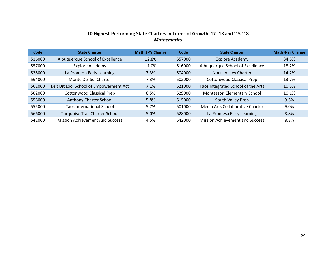#### **10 Highest-Performing State Charters in Terms of Growth '17-'18 and '15-'18** *Mathematics*

| Code   | <b>State Charter</b>                    | Math 2-Yr Change | Code   | <b>State Charter</b>                   | <b>Math 4-Yr Change</b> |
|--------|-----------------------------------------|------------------|--------|----------------------------------------|-------------------------|
| 516000 | Albuquerque School of Excellence        | 12.8%            | 557000 | <b>Explore Academy</b>                 | 34.5%                   |
| 557000 | <b>Explore Academy</b>                  | 11.0%            | 516000 | Albuquerque School of Excellence       | 18.2%                   |
| 528000 | La Promesa Early Learning               | 7.3%             | 504000 | North Valley Charter                   | 14.2%                   |
| 564000 | Monte Del Sol Charter                   | 7.3%             | 502000 | <b>Cottonwood Classical Prep</b>       | 13.7%                   |
| 562000 | Dzit Dit Lool School of Empowerment Act | 7.1%             | 521000 | Taos Integrated School of the Arts     | 10.5%                   |
| 502000 | <b>Cottonwood Classical Prep</b>        | 6.5%             | 529000 | Montessori Elementary School           | 10.1%                   |
| 556000 | Anthony Charter School                  | 5.8%             | 515000 | South Valley Prep                      | 9.6%                    |
| 555000 | <b>Taos International School</b>        | 5.7%             | 501000 | Media Arts Collaborative Charter       | 9.0%                    |
| 566000 | <b>Turquoise Trail Charter School</b>   | 5.0%             | 528000 | La Promesa Early Learning              | 8.8%                    |
| 542000 | <b>Mission Achievement And Success</b>  | 4.5%             | 542000 | <b>Mission Achievement and Success</b> | 8.3%                    |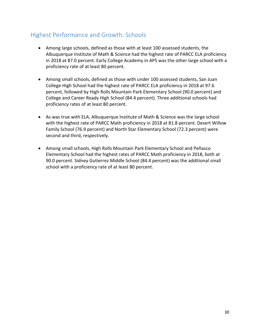## Highest Performance and Growth: Schools

- Among large schools, defined as those with at least 100 assessed students, the Albuquerque Institute of Math & Science had the highest rate of PARCC ELA proficiency in 2018 at 87.0 percent. Early College Academy in APS was the other large school with a proficiency rate of at least 80 percent.
- Among small schools, defined as those with under 100 assessed students, San Juan College High School had the highest rate of PARCC ELA proficiency in 2018 at 97.6 percent, followed by High Rolls Mountain Park Elementary School (90.0 percent) and College and Career Ready High School (84.4 percent). Three additional schools had proficiency rates of at least 80 percent.
- As was true with ELA, Albuquerque Institute of Math & Science was the large school with the highest rate of PARCC Math proficiency in 2018 at 81.8 percent. Desert Willow Family School (76.9 percent) and North Star Elementary School (72.3 percent) were second and third, respectively.
- Among small schools, High Rolls Mountain Park Elementary School and Peñasco Elementary School had the highest rates of PARCC Math proficiency in 2018, both at 90.0 percent. Sidney Gutierrez Middle School (84.4 percent) was the additional small school with a proficiency rate of at least 80 percent.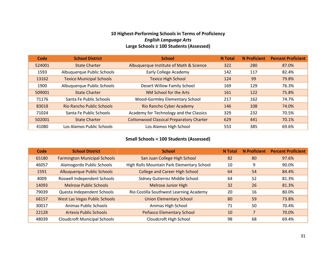#### **10 Highest-Performing Schools in Terms of Proficiency** *English Language Arts* **Large Schools ≥ 100 Students (Assessed)**

| Code   | <b>School District</b>           | <b>School</b>                                   | <b>N</b> Total | <b>N</b> Proficient | <b>Percent Proficient</b> |
|--------|----------------------------------|-------------------------------------------------|----------------|---------------------|---------------------------|
| 524001 | <b>State Charter</b>             | Albuquerque Institute of Math & Science         | 322            | 280                 | 87.0%                     |
| 1593   | Albuquerque Public Schools       | Early College Academy                           | 142            | 117                 | 82.4%                     |
| 13162  | <b>Texico Municipal Schools</b>  | <b>Texico High School</b>                       | 124            | 99                  | 79.8%                     |
| 1900   | Albuquerque Public Schools       | Desert Willow Family School                     | 169            | 129                 | 76.3%                     |
| 509001 | <b>State Charter</b>             | NM School for the Arts                          | 161            | 122                 | 75.8%                     |
| 71176  | Santa Fe Public Schools          | Wood-Gormley Elementary School                  | 217            | 162                 | 74.7%                     |
| 83018  | <b>Rio Rancho Public Schools</b> | Rio Rancho Cyber Academy                        | 146            | 108                 | 74.0%                     |
| 71024  | Santa Fe Public Schools          | Academy for Technology and the Classics         | 329            | 232                 | 70.5%                     |
| 502001 | <b>State Charter</b>             | <b>Cottonwood Classical Preparatory Charter</b> | 629            | 441                 | 70.1%                     |
| 41080  | Los Alamos Public Schools        | Los Alamos High School                          | 553            | 385                 | 69.6%                     |

#### **Small Schools < 100 Students (Assessed)**

| Code  | <b>School District</b>               | <b>School</b>                              | <b>N</b> Total | <b>N</b> Proficient | <b>Percent Proficient</b> |
|-------|--------------------------------------|--------------------------------------------|----------------|---------------------|---------------------------|
| 65180 | <b>Farmington Municipal Schools</b>  | San Juan College High School               | 82             | 80                  | 97.6%                     |
| 46057 | Alamogordo Public Schools            | High Rolls Mountain Park Elementary School | 10             | 9                   | 90.0%                     |
| 1591  | <b>Albuquerque Public Schools</b>    | <b>College and Career High School</b>      | 64             | 54                  | 84.4%                     |
| 4009  | Roswell Independent Schools          | Sidney Gutierrez Middle School             | 64             | 52                  | 81.3%                     |
| 14093 | <b>Melrose Public Schools</b>        | <b>Melrose Junior High</b>                 | 32             | 26                  | 81.3%                     |
| 79039 | Questa Independent Schools           | Rio Costilla Southwest Learning Academy    | 20             | 16                  | 80.0%                     |
| 68157 | <b>West Las Vegas Public Schools</b> | <b>Union Elementary School</b>             | 80             | 59                  | 73.8%                     |
| 30017 | Animas Public Schools                | Animas High School                         | 71             | 50                  | 70.4%                     |
| 22128 | Artesia Public Schools               | Peñasco Elementary School                  | 10             | 7                   | 70.0%                     |
| 48039 | <b>Cloudcroft Municipal Schools</b>  | Cloudcroft High School                     | 98             | 68                  | 69.4%                     |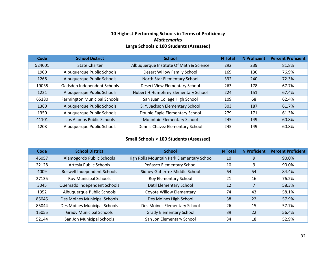#### **10 Highest-Performing Schools in Terms of Proficiency** *Mathematics* **Large Schools ≥ 100 Students (Assessed)**

| Code   | <b>School District</b>              | <b>School</b>                           | <b>N</b> Total | <b>N</b> Proficient | <b>Percent Proficient</b> |
|--------|-------------------------------------|-----------------------------------------|----------------|---------------------|---------------------------|
| 524001 | <b>State Charter</b>                | Albuquerque Institute Of Math & Science | 292            | 239                 | 81.8%                     |
| 1900   | Albuquerque Public Schools          | Desert Willow Family School             | 169            | 130                 | 76.9%                     |
| 1268   | Albuquerque Public Schools          | North Star Elementary School            | 332            | 240                 | 72.3%                     |
| 19035  | Gadsden Independent Schools         | Desert View Elementary School           | 263            | 178                 | 67.7%                     |
| 1221   | Albuquerque Public Schools          | Hubert H Humphrey Elementary School     | 224            | 151                 | 67.4%                     |
| 65180  | <b>Farmington Municipal Schools</b> | San Juan College High School            | 109            | 68                  | 62.4%                     |
| 1360   | Albuquerque Public Schools          | S. Y. Jackson Elementary School         | 303            | 187                 | 61.7%                     |
| 1350   | Albuquerque Public Schools          | Double Eagle Elementary School          | 279            | 171                 | 61.3%                     |
| 41101  | Los Alamos Public Schools           | Mountain Elementary School              | 245            | 149                 | 60.8%                     |
| 1203   | Albuquerque Public Schools          | Dennis Chavez Elementary School         | 245            | 149                 | 60.8%                     |

#### **Small Schools < 100 Students (Assessed)**

| Code  | <b>School District</b>         | <b>School</b>                              | <b>N</b> Total | <b>N</b> Proficient | <b>Percent Proficient</b> |
|-------|--------------------------------|--------------------------------------------|----------------|---------------------|---------------------------|
| 46057 | Alamogordo Public Schools      | High Rolls Mountain Park Elementary School | 10             | 9                   | 90.0%                     |
| 22128 | Artesia Public Schools         | Peñasco Elementary School                  | 10             | 9                   | 90.0%                     |
| 4009  | Roswell Independent Schools    | Sidney Gutierrez Middle School             | 64             | 54                  | 84.4%                     |
| 27135 | <b>Roy Municipal Schools</b>   | Roy Elementary School                      | 21             | 16                  | 76.2%                     |
| 3045  | Quemado Independent Schools    | Datil Elementary School                    | 12             |                     | 58.3%                     |
| 1952  | Albuquerque Public Schools     | Coyote Willow Elementary                   | 74             | 43                  | 58.1%                     |
| 85045 | Des Moines Municipal Schools   | Des Moines High School                     | 38             | 22                  | 57.9%                     |
| 85044 | Des Moines Municipal Schools   | Des Moines Elementary School               | 26             | 15                  | 57.7%                     |
| 15055 | <b>Grady Municipal Schools</b> | <b>Grady Elementary School</b>             | 39             | 22                  | 56.4%                     |
| 52144 | San Jon Municipal Schools      | San Jon Elementary School                  | 34             | 18                  | 52.9%                     |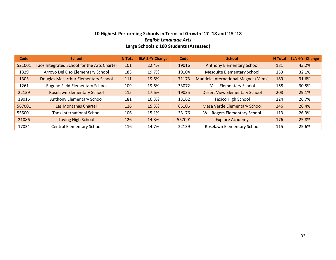#### **Highest-Performing Schools in Terms of Growth '17-'18 and '15-'18** *English Language Arts* **Large Schools ≥ 100 Students (Assessed)**

| Code   | <b>School</b>                               | <b>N</b> Total | <b>ELA 2-Yr Change</b> | Code   | <b>School</b>                              | <b>N</b> Total | <b>ELA 4-Yr Change</b> |
|--------|---------------------------------------------|----------------|------------------------|--------|--------------------------------------------|----------------|------------------------|
| 521001 | Taos Integrated School for the Arts Charter | 101            | 22.4%                  | 19016  | <b>Anthony Elementary School</b>           | 181            | 43.2%                  |
| 1329   | Arroyo Del Oso Elementary School            | 183            | 19.7%                  | 19104  | <b>Mesquite Elementary School</b>          | 153            | 32.1%                  |
| 1303   | Douglas Macarthur Elementary School         | 111            | 19.6%                  | 71173  | <b>Mandela International Magnet (Mims)</b> | 189            | 31.6%                  |
| 1261   | <b>Eugene Field Elementary School</b>       | 109            | 19.6%                  | 33072  | Mills Elementary School                    | 168            | 30.5%                  |
| 22139  | <b>Roselawn Elementary School</b>           | 115            | 17.6%                  | 19035  | <b>Desert View Elementary School</b>       | 208            | 29.1%                  |
| 19016  | Anthony Elementary School                   | 181            | 16.3%                  | 13162  | <b>Texico High School</b>                  | 124            | 26.7%                  |
| 567001 | Las Montanas Charter                        | 116            | 15.3%                  | 65106  | <b>Mesa Verde Elementary School</b>        | 246            | 26.4%                  |
| 555001 | <b>Taos International School</b>            | 106            | 15.1%                  | 33176  | Will Rogers Elementary School              | 113            | 26.3%                  |
| 21086  | Loving High School                          | 126            | 14.8%                  | 557001 | <b>Explore Academy</b>                     | 176            | 25.8%                  |
| 17034  | <b>Central Elementary School</b>            | 116            | 14.7%                  | 22139  | Roselawn Elementary School                 | 115            | 25.6%                  |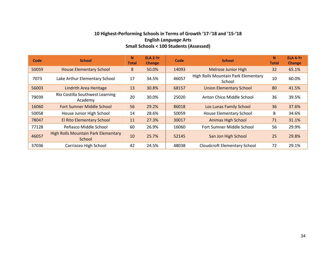#### **10 Highest-Performing Schools in Terms of Growth '17-'18 and '15-'18 English** *Language* **Arts Small Schools < 100 Students (Assessed)**

| Code  | <b>School</b>                                        | N <sub>1</sub><br><b>Total</b> | ELA 2-Yr<br><b>Change</b> | Code  | <b>School</b>                                 | N.<br><b>Total</b> | ELA 4-Yr<br><b>Change</b> |
|-------|------------------------------------------------------|--------------------------------|---------------------------|-------|-----------------------------------------------|--------------------|---------------------------|
| 50059 | <b>House Elementary School</b>                       | 8                              | 50.0%                     | 14093 | <b>Melrose Junior High</b>                    | 32                 | 65.1%                     |
| 7073  | Lake Arthur Elementary School                        | 17                             | 34.5%                     | 46057 | High Rolls Mountain Park Elementary<br>School | 10                 | 60.0%                     |
| 56003 | <b>Lindrith Area Heritage</b>                        | 13                             | 30.8%                     | 68157 | <b>Union Elementary School</b>                | 80                 | 41.5%                     |
| 79039 | Rio Costilla Southwest Learning<br>Academy           | 20                             | 30.0%                     | 25020 | Anton Chico Middle School                     | 36                 | 39.5%                     |
| 16060 | <b>Fort Sumner Middle School</b>                     | 56                             | 29.2%                     | 86018 | Los Lunas Family School                       | 36                 | 37.6%                     |
| 50058 | House Junior High School                             | 14                             | 28.6%                     | 50059 | <b>House Elementary School</b>                | 8                  | 34.6%                     |
| 78047 | <b>El Rito Elementary School</b>                     | 11                             | 27.3%                     | 30017 | <b>Animas High School</b>                     | 71                 | 31.1%                     |
| 77128 | Peñasco Middle School                                | 60                             | 26.9%                     | 16060 | Fort Sumner Middle School                     | 56                 | 29.9%                     |
| 46057 | <b>High Rolls Mountain Park Elementary</b><br>School | 10                             | 25.7%                     | 52145 | San Jon High School                           | 25                 | 29.8%                     |
| 37036 | Carrizozo High School                                | 42                             | 24.5%                     | 48038 | <b>Cloudcroft Elementary School</b>           | 72                 | 29.1%                     |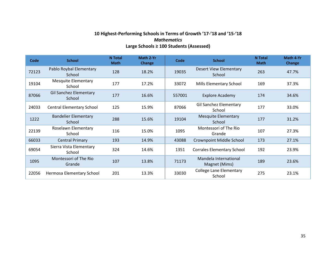#### **10 Highest-Performing Schools in Terms of Growth '17-'18 and '15-'18** *Mathematics* **Large Schools ≥ 100 Students (Assessed)**

| Code  | <b>School</b>                           | <b>N</b> Total<br><b>Math</b> | Math 2-Yr<br><b>Change</b> | Code   | <b>School</b>                            |     | Math 4-Yr<br><b>Change</b> |
|-------|-----------------------------------------|-------------------------------|----------------------------|--------|------------------------------------------|-----|----------------------------|
| 72123 | Pablo Roybal Elementary<br>School       | 128                           | 18.2%                      | 19035  | <b>Desert View Elementary</b><br>School  | 263 | 47.7%                      |
| 19104 | <b>Mesquite Elementary</b><br>School    | 177                           | 17.2%                      | 33072  | Mills Elementary School                  | 169 | 37.3%                      |
| 87066 | <b>Gil Sanchez Elementary</b><br>School | 177                           | 16.6%                      | 557001 | <b>Explore Academy</b>                   | 174 | 34.6%                      |
| 24033 | <b>Central Elementary School</b>        | 125                           | 15.9%                      | 87066  | <b>Gil Sanchez Elementary</b><br>School  | 177 | 33.0%                      |
| 1222  | <b>Bandelier Elementary</b><br>School   | 288                           | 15.6%                      | 19104  | <b>Mesquite Elementary</b><br>School     | 177 | 31.2%                      |
| 22139 | Roselawn Elementary<br>School           | 116                           | 15.0%                      | 1095   | Montessori of The Rio<br>Grande          | 107 | 27.3%                      |
| 66033 | <b>Central Primary</b>                  | 193                           | 14.9%                      | 43088  | Crownpoint Middle School                 | 173 | 27.1%                      |
| 69054 | Sierra Vista Elementary<br>School       | 324                           | 14.6%                      | 1351   | <b>Corrales Elementary School</b>        | 192 | 23.9%                      |
| 1095  | Montessori of The Rio<br>Grande         | 107                           | 13.8%                      | 71173  | Mandela International<br>Magnet (Mims)   | 189 | 23.6%                      |
| 22056 | Hermosa Elementary School               | 201                           | 13.3%                      | 33030  | <b>College Lane Elementary</b><br>School | 275 | 23.1%                      |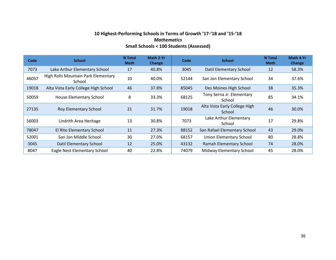#### **10 Highest-Performing Schools in Terms of Growth '17-'18 and '15-'18** *Mathematics* **Small Schools < 100 Students (Assessed)**

| Code  | <b>School</b>                                 | <b>N</b> Total<br><b>Math</b> | Math 2-Yr<br>Change | Code  | <b>School</b>                           |    | Math 4-Yr<br><b>Change</b> |
|-------|-----------------------------------------------|-------------------------------|---------------------|-------|-----------------------------------------|----|----------------------------|
| 7073  | Lake Arthur Elementary School                 | 17                            | 40.8%               | 3045  | Datil Elementary School                 | 12 | 58.3%                      |
| 46057 | High Rolls Mountain Park Elementary<br>School | 10                            | 40.0%               | 52144 | San Jon Elementary School               | 34 | 37.6%                      |
| 19018 | Alta Vista Early College High School          | 46                            | 37.8%               | 85045 | Des Moines High School                  | 38 | 35.3%                      |
| 50059 | House Elementary School                       | 8                             | 33.3%               | 68125 | Tony Serna Jr. Elementary<br>School     | 85 | 34.1%                      |
| 27135 | Roy Elementary School                         | 21                            | 31.7%               | 19018 | Alta Vista Early College High<br>School | 46 | 30.0%                      |
| 56003 | Lindrith Area Heritage                        | 13                            | 30.8%               | 7073  | Lake Arthur Elementary<br>School        | 17 | 29.8%                      |
| 78047 | El Rito Elementary School                     | 11                            | 27.3%               | 88152 | San Rafael Elementary School            | 43 | 29.0%                      |
| 52001 | San Jon Middle School                         | 30                            | 27.0%               | 68157 | <b>Union Elementary School</b>          | 80 | 28.8%                      |
| 3045  | Datil Elementary School                       | 12                            | 25.0%               | 43132 | Ramah Elementary School                 | 74 | 28.0%                      |
| 8047  | Eagle Nest Elementary School                  | 40                            | 22.8%               | 74079 | <b>Midway Elementary School</b>         | 45 | 28.0%                      |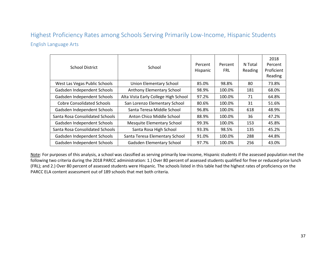# Highest Proficiency Rates among Schools Serving Primarily Low-Income, Hispanic Students English Language Arts

| <b>School District</b>            | School                               | Percent<br>Hispanic | Percent<br><b>FRL</b> | N Total<br>Reading | 2018<br>Percent<br>Proficient<br>Reading |
|-----------------------------------|--------------------------------------|---------------------|-----------------------|--------------------|------------------------------------------|
| West Las Vegas Public Schools     | <b>Union Elementary School</b>       | 85.0%               | 98.8%                 | 80                 | 73.8%                                    |
| Gadsden Independent Schools       | Anthony Elementary School            | 98.9%               | 100.0%                | 181                | 68.0%                                    |
| Gadsden Independent Schools       | Alta Vista Early College High School | 97.2%               | 100.0%                | 71                 | 64.8%                                    |
| <b>Cobre Consolidated Schools</b> | San Lorenzo Elementary School        | 80.6%               | 100.0%                | 31                 | 51.6%                                    |
| Gadsden Independent Schools       | Santa Teresa Middle School           | 96.8%               | 100.0%                | 618                | 48.9%                                    |
| Santa Rosa Consolidated Schools   | Anton Chico Middle School            | 88.9%               | 100.0%                | 36                 | 47.2%                                    |
| Gadsden Independent Schools       | Mesquite Elementary School           | 99.3%               | 100.0%                | 153                | 45.8%                                    |
| Santa Rosa Consolidated Schools   | Santa Rosa High School               | 93.3%               | 98.5%                 | 135                | 45.2%                                    |
| Gadsden Independent Schools       | Santa Teresa Elementary School       | 91.0%               | 100.0%                | 288                | 44.8%                                    |
| Gadsden Independent Schools       | Gadsden Elementary School            | 97.7%               | 100.0%                | 256                | 43.0%                                    |

Note: For purposes of this analysis, a school was classified as serving primarily low-income, Hispanic students if the assessed population met the following two criteria during the 2018 PARCC administration: 1.) Over 80 percent of assessed students qualified for free or reduced-price lunch (FRL); and 2.) Over 80 percent of assessed students were Hispanic. The schools listed in this table had the highest rates of proficiency on the PARCC ELA content assessment out of 189 schools that met both criteria.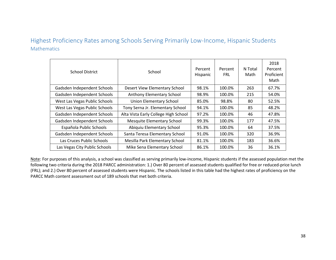# Highest Proficiency Rates among Schools Serving Primarily Low-Income, Hispanic Students Mathematics

| <b>School District</b>        | School                               | Percent<br>Hispanic | Percent<br><b>FRL</b> | N Total<br>Math | 2018<br>Percent<br>Proficient<br>Math |
|-------------------------------|--------------------------------------|---------------------|-----------------------|-----------------|---------------------------------------|
| Gadsden Independent Schools   | Desert View Elementary School        | 98.1%               | 100.0%                | 263             | 67.7%                                 |
| Gadsden Independent Schools   | Anthony Elementary School            | 98.9%               | 100.0%                | 215             | 54.0%                                 |
| West Las Vegas Public Schools | <b>Union Elementary School</b>       | 85.0%               | 98.8%                 | 80              | 52.5%                                 |
| West Las Vegas Public Schools | Tony Serna Jr. Elementary School     | 94.1%               | 100.0%                | 85              | 48.2%                                 |
| Gadsden Independent Schools   | Alta Vista Early College High School | 97.2%               | 100.0%                | 46              | 47.8%                                 |
| Gadsden Independent Schools   | <b>Mesquite Elementary School</b>    | 99.3%               | 100.0%                | 177             | 47.5%                                 |
| Española Public Schools       | Abiquiu Elementary School            | 95.3%               | 100.0%                | 64              | 37.5%                                 |
| Gadsden Independent Schools   | Santa Teresa Elementary School       | 91.0%               | 100.0%                | 320             | 36.9%                                 |
| Las Cruces Public Schools     | Mesilla Park Elementary School       | 81.1%               | 100.0%                | 183             | 36.6%                                 |
| Las Vegas City Public Schools | Mike Sena Elementary School          | 86.1%               | 100.0%                | 36              | 36.1%                                 |

Note: For purposes of this analysis, a school was classified as serving primarily low-income, Hispanic students if the assessed population met the following two criteria during the 2018 PARCC administration: 1.) Over 80 percent of assessed students qualified for free or reduced-price lunch (FRL); and 2.) Over 80 percent of assessed students were Hispanic. The schools listed in this table had the highest rates of proficiency on the PARCC Math content assessment out of 189 schools that met both criteria.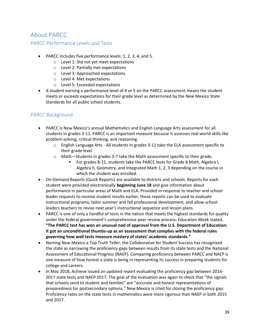# About PARCC

#### PARCC Performance Levels and Tests

- PARCC includes five performance levels: 1, 2, 3, 4, and 5.
	- o Level 1: Did not yet meet expectations
	- o Level 2: Partially met expectations
	- o Level 3: Approached expectations
	- o Level 4: Met expectations
	- o Level 5: Exceeded expectations
- A student earning a performance level of 4 or 5 on the PARCC assessment means the student meets or exceeds expectations for their grade level as determined by the New Mexico State Standards for all public school students.

#### PARCC Background

- PARCC is New Mexico's annual Mathematics and English Language Arts assessment for all students in grades 3-11. PARCC is an important measure because it assesses real-world skills like problem-solving, critical thinking, and reasoning.
	- $\circ$  English Language Arts All students in grades 3-11 take the ELA assessment specific to their grade level.
	- $\circ$  Math—Students in grades 3-7 take the Math assessment specific to their grade.
		- For grades 8-11, students take the PARCC tests for Grade 8 Math, Algebra I, Algebra II, Geometry, and Integrated Math 1, 2, 3 depending on the course in which the student was enrolled.
- On-Demand Reports (Quick Reports) are available to districts and schools. Reports for each student were provided electronically **beginning June 18** and give information about performance in particular areas of Math and ELA. Provided in response to teacher and school leader requests to receive student results earlier, these reports can be used to evaluate instructional programs, tailor summer and fall professional development, and allow school leaders teachers to revise next year's instructional sequence and lesson plans.
- PARCC is one of only a handful of tests in the nation that meets the highest standards for quality under the federal government's comprehensive peer review process. Education Week stated, **"The PARCC test has won an unusual nod of approval from the U.S. Department of Education: It got an unconditional thumbs-up as an assessment that complies with the federal rules governing how well tests measure mastery of states' academic standards."**
- Naming New Mexico a Top Truth Teller, the Collaborative for Student Success has recognized the state as narrowing the proficiency gaps between results from its state tests and the National Assessment of Educational Progress (NAEP). Comparing proficiency between PARCC and NAEP is one measure of how honest a state is being in representing its success in preparing students for college and careers.
- In May 2018, Achieve issued an updated report evaluating the proficiency gap between 2016- 2017 state tests and NAEP 2017. The goal of the evaluation was again to check that "the signals that schools send to student and families" are "accurate and honest representations of preparedness for postsecondary options." New Mexico is cited for closing the proficiency gap: Proficiency rates on the state tests in mathematics were more rigorous than NAEP in both 2015 and 2017.